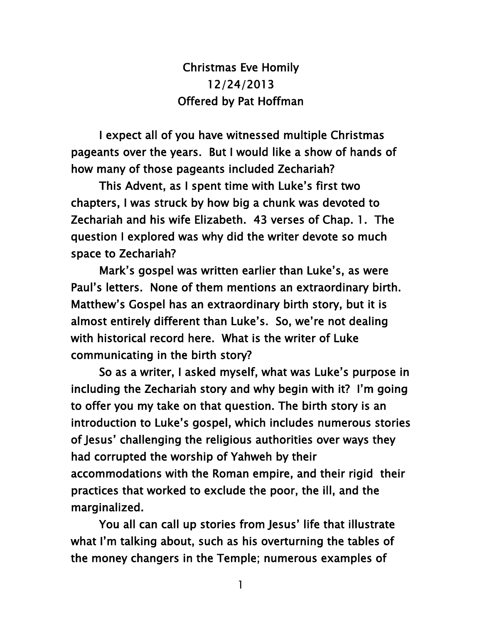Christmas Eve Homily 12/24/2013 Offered by Pat Hoffman

 I expect all of you have witnessed multiple Christmas pageants over the years. But I would like a show of hands of how many of those pageants included Zechariah?

 This Advent, as I spent time with Luke's first two chapters, I was struck by how big a chunk was devoted to Zechariah and his wife Elizabeth. 43 verses of Chap. 1. The question I explored was why did the writer devote so much space to Zechariah?

 Mark's gospel was written earlier than Luke's, as were Paul's letters. None of them mentions an extraordinary birth. Matthew's Gospel has an extraordinary birth story, but it is almost entirely different than Luke's. So, we're not dealing with historical record here. What is the writer of Luke communicating in the birth story?

 So as a writer, I asked myself, what was Luke's purpose in including the Zechariah story and why begin with it? I'm going to offer you my take on that question. The birth story is an introduction to Luke's gospel, which includes numerous stories of Jesus' challenging the religious authorities over ways they had corrupted the worship of Yahweh by their accommodations with the Roman empire, and their rigid their practices that worked to exclude the poor, the ill, and the marginalized.

 You all can call up stories from Jesus' life that illustrate what I'm talking about, such as his overturning the tables of the money changers in the Temple; numerous examples of

1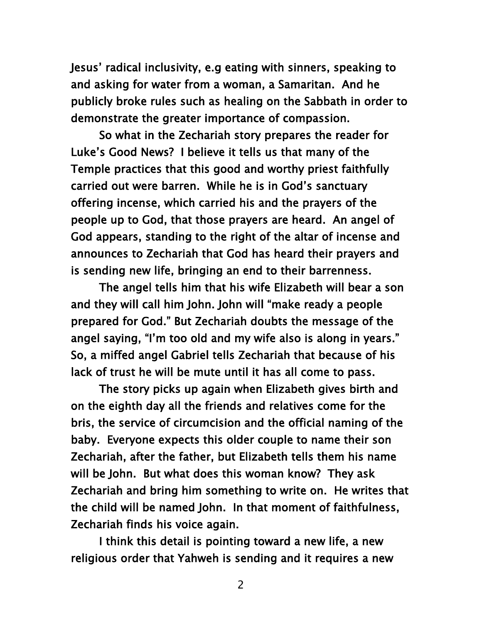Jesus' radical inclusivity, e.g eating with sinners, speaking to and asking for water from a woman, a Samaritan. And he publicly broke rules such as healing on the Sabbath in order to demonstrate the greater importance of compassion.

 So what in the Zechariah story prepares the reader for Luke's Good News? I believe it tells us that many of the Temple practices that this good and worthy priest faithfully carried out were barren. While he is in God's sanctuary offering incense, which carried his and the prayers of the people up to God, that those prayers are heard. An angel of God appears, standing to the right of the altar of incense and announces to Zechariah that God has heard their prayers and is sending new life, bringing an end to their barrenness.

 The angel tells him that his wife Elizabeth will bear a son and they will call him John. John will "make ready a people prepared for God." But Zechariah doubts the message of the angel saying, "I'm too old and my wife also is along in years." So, a miffed angel Gabriel tells Zechariah that because of his lack of trust he will be mute until it has all come to pass.

 The story picks up again when Elizabeth gives birth and on the eighth day all the friends and relatives come for the bris, the service of circumcision and the official naming of the baby. Everyone expects this older couple to name their son Zechariah, after the father, but Elizabeth tells them his name will be John. But what does this woman know? They ask Zechariah and bring him something to write on. He writes that the child will be named John. In that moment of faithfulness, Zechariah finds his voice again.

 I think this detail is pointing toward a new life, a new religious order that Yahweh is sending and it requires a new